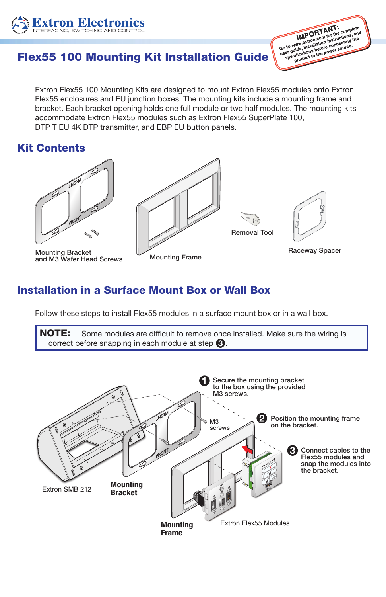

Go to www.extrap.net for the complete of the complete of the complete of the complete of the complete of the complete of the complete of the complete of the complete of the power source. www.extron.information.informating<br>uide, installation connecting<br>cifications before cource.<br>product to the power source.

# Flex55 100 Mounting Kit Installation Guid[e](http://www.extron.com)

Extron Flex55 100 Mounting Kits are designed to mount Extron Flex55 modules onto Extron<br>Flex55 enclosures and EU junction boxes. The mounting kits include a mounting frame and<br>bracket. Each bracket opening bolds one full m LATIONT TEXSS TOO MOUTING ATE USIGNED TO THOUTE LATION TTEXSS HOUGHTS BERS AND LATION<br>Flex55 enclosures and EU junction boxes. The mounting kits include a mounting frame and<br>bracket. Each bracket opening holds one full mod Extron Flex55 100 Mounting Kits are designed to mount Extron Flex55 modules onto Extron accommodate Extron Flex55 modules such as Extron Flex55 SuperPlate 100, DTP T EU 4K DTP transmitter, and EBP EU button panels.

### Kit Contents



Mounting Bracket and M3 Wafer Head Screws Mounting Frame



# Removal Tool



Raceway Spacer

## Installation in a Surface Mount Box or Wall Box

Follow these steps to install Flex55 modules in a surface mount box or in a wall box.

NOTE: Some modules are difficult to remove once installed. Make sure the wiring is correct before snapping in each module at step  $\bigcirc$ .